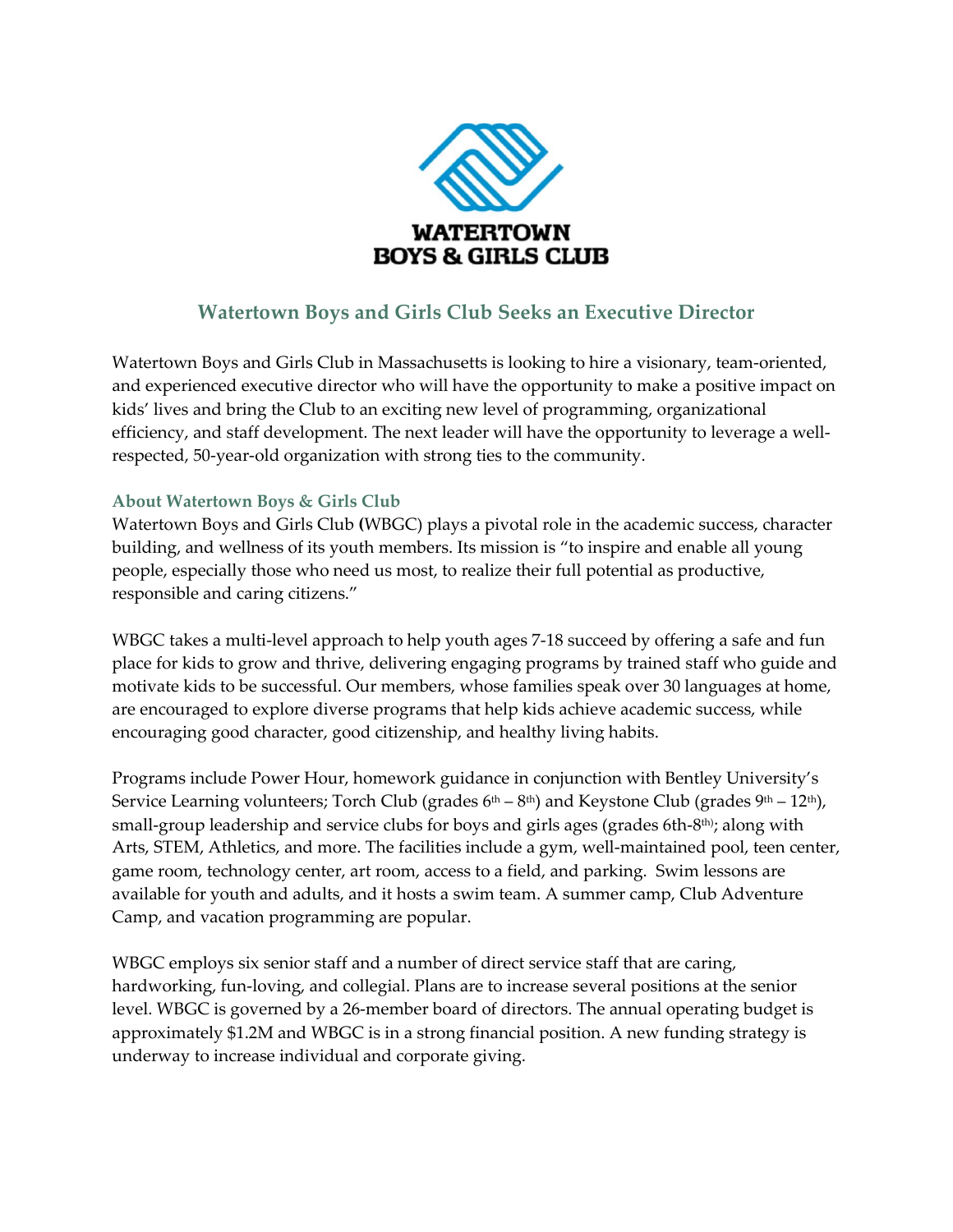

# **Watertown Boys and Girls Club Seeks an Executive Director**

Watertown Boys and Girls Club in Massachusetts is looking to hire a visionary, team-oriented, and experienced executive director who will have the opportunity to make a positive impact on kids' lives and bring the Club to an exciting new level of programming, organizational efficiency, and staff development. The next leader will have the opportunity to leverage a wellrespected, 50-year-old organization with strong ties to the community.

#### **About Watertown Boys & Girls Club**

Watertown Boys and Girls Club **(**WBGC) plays a pivotal role in the academic success, character building, and wellness of its youth members. Its mission is "to inspire and enable all young people, especially those who need us most, to realize their full potential as productive, responsible and caring citizens."

WBGC takes a multi-level approach to help youth ages 7-18 succeed by offering a safe and fun place for kids to grow and thrive, delivering engaging programs by trained staff who guide and motivate kids to be successful. Our members, whose families speak over 30 languages at home, are encouraged to explore diverse programs that help kids achieve academic success, while encouraging good character, good citizenship, and healthy living habits.

Programs include Power Hour, homework guidance in conjunction with Bentley University's Service Learning volunteers; Torch Club (grades 6<sup>th</sup> – 8<sup>th</sup>) and Keystone Club (grades 9<sup>th</sup> – 12<sup>th</sup>), small-group leadership and service clubs for boys and girls ages (grades 6th-8th); along with Arts, STEM, Athletics, and more. The facilities include a gym, well-maintained pool, teen center, game room, technology center, art room, access to a field, and parking. Swim lessons are available for youth and adults, and it hosts a swim team. A summer camp, Club Adventure Camp, and vacation programming are popular.

WBGC employs six senior staff and a number of direct service staff that are caring, hardworking, fun-loving, and collegial. Plans are to increase several positions at the senior level. WBGC is governed by a 26-member board of directors. The annual operating budget is approximately \$1.2M and WBGC is in a strong financial position. A new funding strategy is underway to increase individual and corporate giving.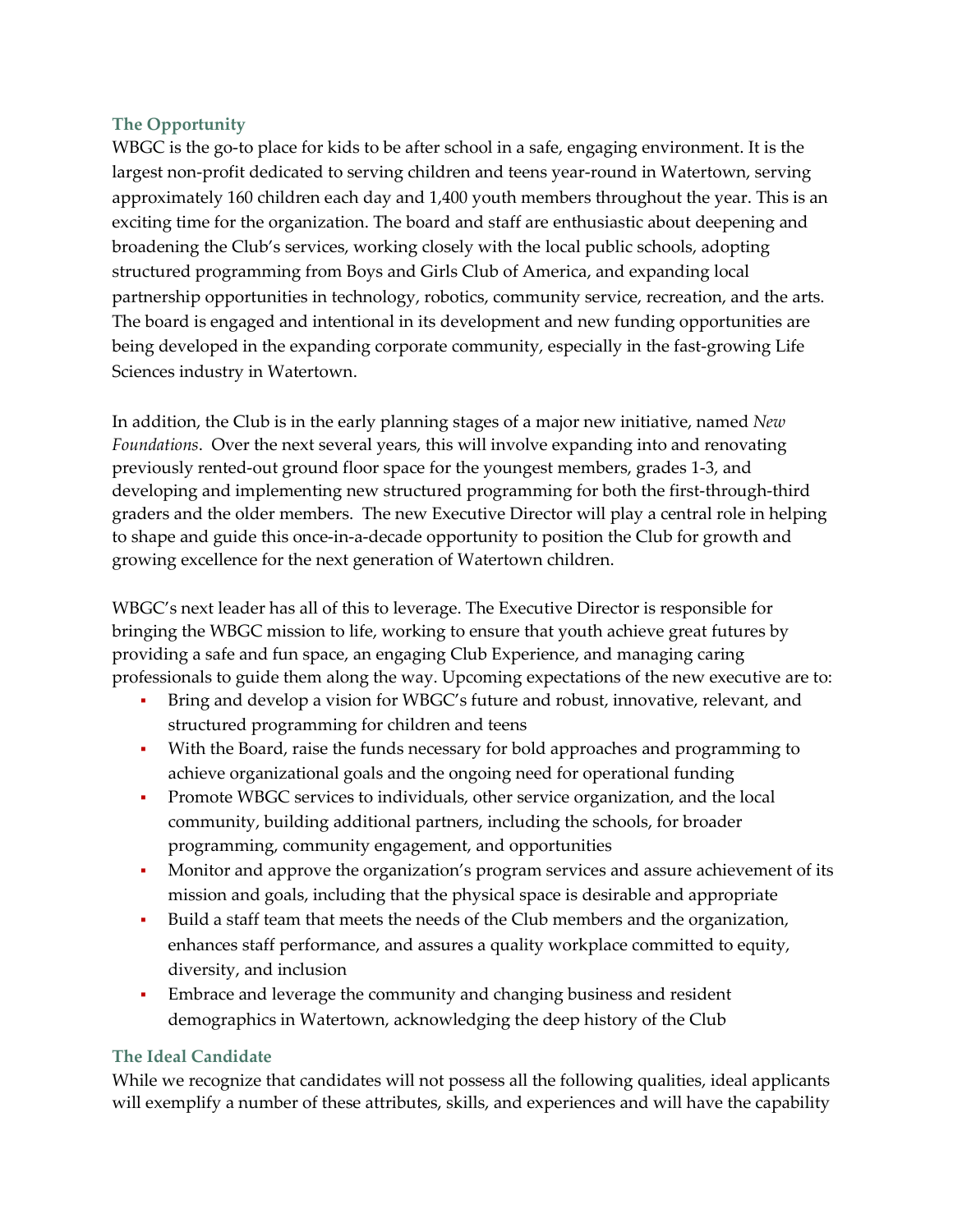#### **The Opportunity**

WBGC is the go-to place for kids to be after school in a safe, engaging environment. It is the largest non-profit dedicated to serving children and teens year-round in Watertown, serving approximately 160 children each day and 1,400 youth members throughout the year. This is an exciting time for the organization. The board and staff are enthusiastic about deepening and broadening the Club's services, working closely with the local public schools, adopting structured programming from Boys and Girls Club of America, and expanding local partnership opportunities in technology, robotics, community service, recreation, and the arts. The board is engaged and intentional in its development and new funding opportunities are being developed in the expanding corporate community, especially in the fast-growing Life Sciences industry in Watertown.

In addition, the Club is in the early planning stages of a major new initiative, named *New Foundations*. Over the next several years, this will involve expanding into and renovating previously rented-out ground floor space for the youngest members, grades 1-3, and developing and implementing new structured programming for both the first-through-third graders and the older members. The new Executive Director will play a central role in helping to shape and guide this once-in-a-decade opportunity to position the Club for growth and growing excellence for the next generation of Watertown children.

WBGC's next leader has all of this to leverage. The Executive Director is responsible for bringing the WBGC mission to life, working to ensure that youth achieve great futures by providing a safe and fun space, an engaging Club Experience, and managing caring professionals to guide them along the way. Upcoming expectations of the new executive are to:

- Bring and develop a vision for WBGC's future and robust, innovative, relevant, and structured programming for children and teens
- With the Board, raise the funds necessary for bold approaches and programming to achieve organizational goals and the ongoing need for operational funding
- **•** Promote WBGC services to individuals, other service organization, and the local community, building additional partners, including the schools, for broader programming, community engagement, and opportunities
- **•** Monitor and approve the organization's program services and assure achievement of its mission and goals, including that the physical space is desirable and appropriate
- Build a staff team that meets the needs of the Club members and the organization, enhances staff performance, and assures a quality workplace committed to equity, diversity, and inclusion
- Embrace and leverage the community and changing business and resident demographics in Watertown, acknowledging the deep history of the Club

### **The Ideal Candidate**

While we recognize that candidates will not possess all the following qualities, ideal applicants will exemplify a number of these attributes, skills, and experiences and will have the capability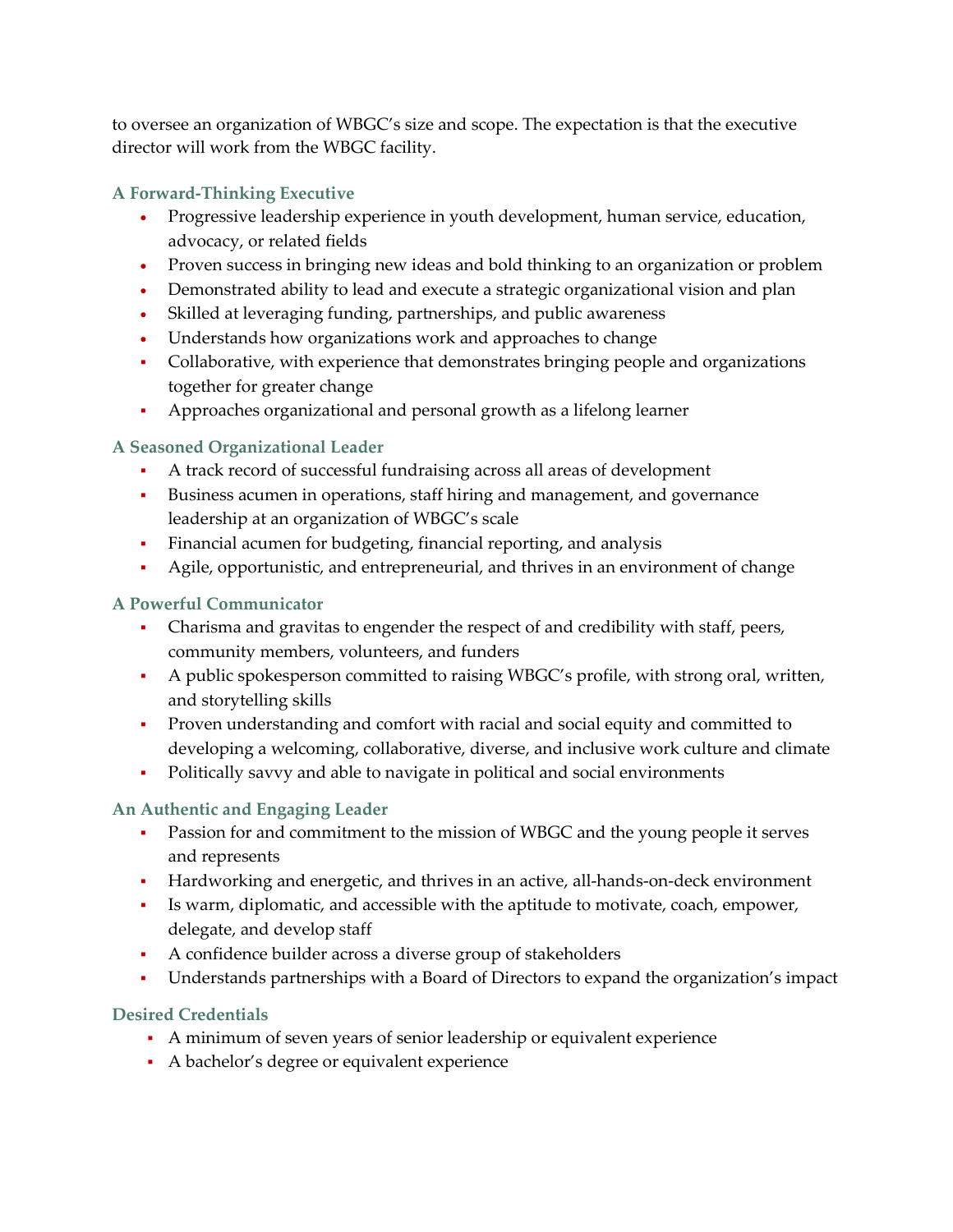to oversee an organization of WBGC's size and scope. The expectation is that the executive director will work from the WBGC facility.

# **A Forward-Thinking Executive**

- Progressive leadership experience in youth development, human service, education, advocacy, or related fields
- Proven success in bringing new ideas and bold thinking to an organization or problem
- Demonstrated ability to lead and execute a strategic organizational vision and plan
- Skilled at leveraging funding, partnerships, and public awareness
- Understands how organizations work and approaches to change
- Collaborative, with experience that demonstrates bringing people and organizations together for greater change
- Approaches organizational and personal growth as a lifelong learner

# **A Seasoned Organizational Leader**

- A track record of successful fundraising across all areas of development
- Business acumen in operations, staff hiring and management, and governance leadership at an organization of WBGC's scale
- Financial acumen for budgeting, financial reporting, and analysis
- Agile, opportunistic, and entrepreneurial, and thrives in an environment of change

# **A Powerful Communicator**

- Charisma and gravitas to engender the respect of and credibility with staff, peers, community members, volunteers, and funders
- A public spokesperson committed to raising WBGC's profile, with strong oral, written, and storytelling skills
- Proven understanding and comfort with racial and social equity and committed to developing a welcoming, collaborative, diverse, and inclusive work culture and climate
- Politically savvy and able to navigate in political and social environments

### **An Authentic and Engaging Leader**

- Passion for and commitment to the mission of WBGC and the young people it serves and represents
- Hardworking and energetic, and thrives in an active, all-hands-on-deck environment
- Is warm, diplomatic, and accessible with the aptitude to motivate, coach, empower, delegate, and develop staff
- A confidence builder across a diverse group of stakeholders
- Understands partnerships with a Board of Directors to expand the organization's impact

### **Desired Credentials**

- A minimum of seven years of senior leadership or equivalent experience
- A bachelor's degree or equivalent experience